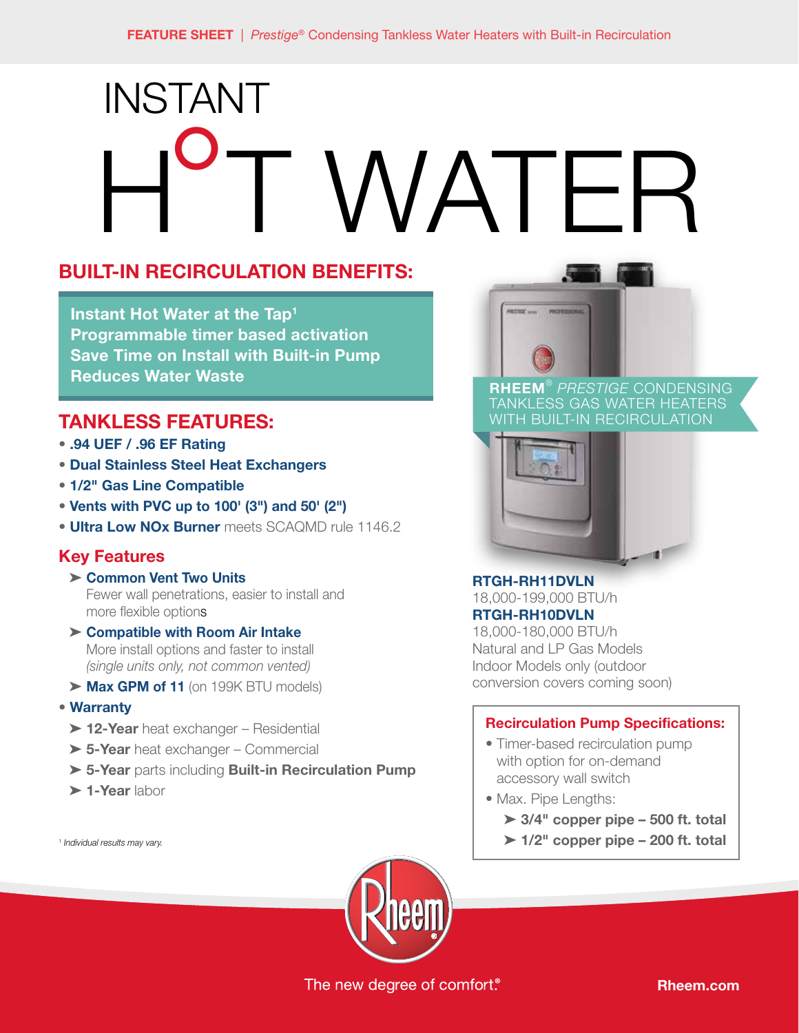# INSTANT WATER

# **BUILT-IN RECIRCULATION BENEFITS:**

**Instant Hot Water at the Tap1 Programmable timer based activation Save Time on Install with Built-in Pump Reduces Water Waste**

## **TANKLESS FEATURES:**

- **.94 UEF / .96 EF Rating**
- **Dual Stainless Steel Heat Exchangers**
- **1/2" Gas Line Compatible**
- **Vents with PVC up to 100' (3") and 50' (2")**
- **Ultra Low NOx Burner** meets SCAQMD rule 1146.2

### **Key Features**

- ➤ **Common Vent Two Units**  Fewer wall penetrations, easier to install and more flexible options
- ➤ **Compatible with Room Air Intake**  More install options and faster to install *(single units only, not common vented)*
- ➤ **Max GPM of 11** (on 199K BTU models)

#### **• Warranty**

- ➤ **12-Year** heat exchanger Residential
- ➤ **5-Year** heat exchanger Commercial
- ➤ **5-Year** parts including **Built-in Recirculation Pump**
- ➤ **1-Year** labor

<sup>1</sup> *Individual results may vary.*



**RHEEM**® *PRESTIGE* CONDENSING TANKLESS GAS WATER HEATERS WITH BUILT-IN RECIRCULATION



## **RTGH-RH11DVLN**

18,000-199,000 BTU/h **RTGH-RH10DVLN**

18,000-180,000 BTU/h Natural and LP Gas Models Indoor Models only (outdoor conversion covers coming soon)

#### **Recirculation Pump Specifications:**

- Timer-based recirculation pump with option for on-demand accessory wall switch
- Max. Pipe Lengths:
	- ➤ **3/4" copper pipe 500 ft. total**
	- ➤ **1/2" copper pipe 200 ft. total**